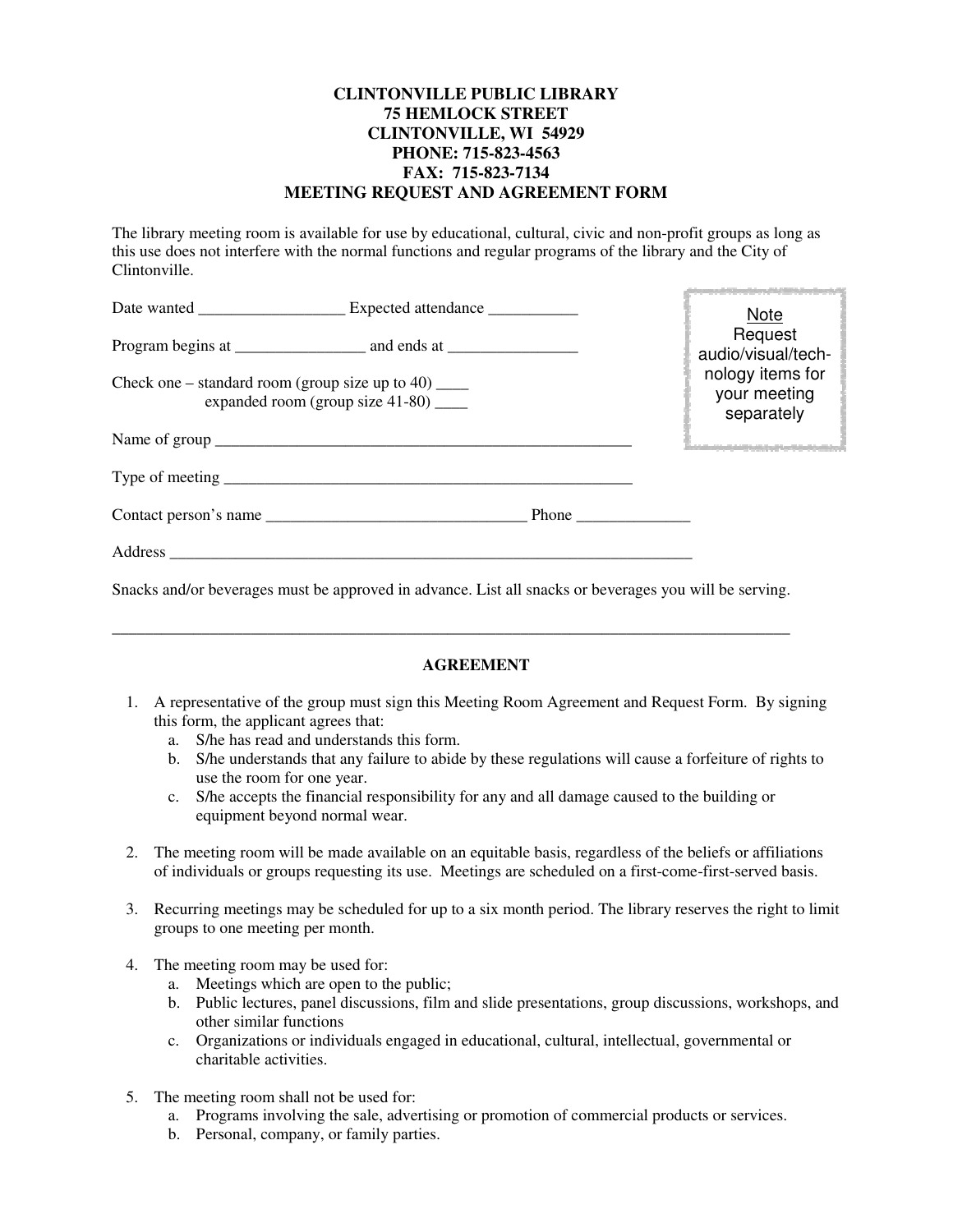## **CLINTONVILLE PUBLIC LIBRARY 75 HEMLOCK STREET CLINTONVILLE, WI 54929 PHONE: 715-823-4563 FAX: 715-823-7134 MEETING REQUEST AND AGREEMENT FORM**

The library meeting room is available for use by educational, cultural, civic and non-profit groups as long as this use does not interfere with the normal functions and regular programs of the library and the City of Clintonville.

| Date wanted <u>Expected</u> attendance                                                                      |  |  | <b>Note</b>                                    |
|-------------------------------------------------------------------------------------------------------------|--|--|------------------------------------------------|
|                                                                                                             |  |  | Request<br>audio/visual/tech-                  |
| Check one – standard room (group size up to 40) $\frac{ }{ }$<br>expanded room (group size $41-80$ ) ______ |  |  | nology items for<br>your meeting<br>separately |
| Name of group                                                                                               |  |  |                                                |
|                                                                                                             |  |  |                                                |
|                                                                                                             |  |  |                                                |
|                                                                                                             |  |  |                                                |

Snacks and/or beverages must be approved in advance. List all snacks or beverages you will be serving.

\_\_\_\_\_\_\_\_\_\_\_\_\_\_\_\_\_\_\_\_\_\_\_\_\_\_\_\_\_\_\_\_\_\_\_\_\_\_\_\_\_\_\_\_\_\_\_\_\_\_\_\_\_\_\_\_\_\_\_\_\_\_\_\_\_\_\_\_\_\_\_\_\_\_\_\_\_\_\_\_\_\_\_

## **AGREEMENT**

- 1. A representative of the group must sign this Meeting Room Agreement and Request Form. By signing this form, the applicant agrees that:
	- a. S/he has read and understands this form.
	- b. S/he understands that any failure to abide by these regulations will cause a forfeiture of rights to use the room for one year.
	- c. S/he accepts the financial responsibility for any and all damage caused to the building or equipment beyond normal wear.
- 2. The meeting room will be made available on an equitable basis, regardless of the beliefs or affiliations of individuals or groups requesting its use. Meetings are scheduled on a first-come-first-served basis.
- 3. Recurring meetings may be scheduled for up to a six month period. The library reserves the right to limit groups to one meeting per month.
- 4. The meeting room may be used for:
	- a. Meetings which are open to the public;
	- b. Public lectures, panel discussions, film and slide presentations, group discussions, workshops, and other similar functions
	- c. Organizations or individuals engaged in educational, cultural, intellectual, governmental or charitable activities.
- 5. The meeting room shall not be used for:
	- a. Programs involving the sale, advertising or promotion of commercial products or services.
	- b. Personal, company, or family parties.